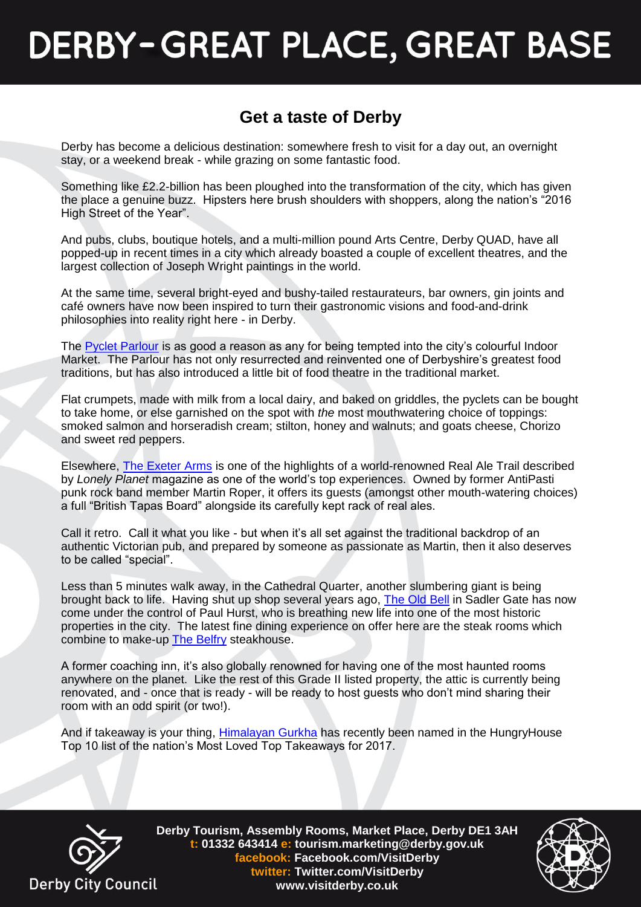# **DERBY-GREAT PLACE, GREAT BASE**

### **Get a taste of Derby**

Derby has become a delicious destination: somewhere fresh to visit for a day out, an overnight stay, or a weekend break - while grazing on some fantastic food.

Something like £2.2-billion has been ploughed into the transformation of the city, which has given the place a genuine buzz. Hipsters here brush shoulders with shoppers, along the nation's "2016 High Street of the Year".

And pubs, clubs, boutique hotels, and a multi-million pound Arts Centre, Derby QUAD, have all popped-up in recent times in a city which already boasted a couple of excellent theatres, and the largest collection of Joseph Wright paintings in the world.

At the same time, several bright-eyed and bushy-tailed restaurateurs, bar owners, gin joints and café owners have now been inspired to turn their gastronomic visions and food-and-drink philosophies into reality right here - in Derby.

The [Pyclet Parlour](http://pycletparlour.co.uk/) is as good a reason as any for being tempted into the city's colourful Indoor Market. The Parlour has not only resurrected and reinvented one of Derbyshire's greatest food traditions, but has also introduced a little bit of food theatre in the traditional market.

Flat crumpets, made with milk from a local dairy, and baked on griddles, the pyclets can be bought to take home, or else garnished on the spot with *the* most mouthwatering choice of toppings: smoked salmon and horseradish cream; stilton, honey and walnuts; and goats cheese, Chorizo and sweet red peppers.

Elsewhere, [The Exeter Arms](http://www.exeterarms.co.uk/) is one of the highlights of a world-renowned Real Ale Trail described by *Lonely Planet* magazine as one of the world's top experiences. Owned by former AntiPasti punk rock band member Martin Roper, it offers its guests (amongst other mouth-watering choices) a full "British Tapas Board" alongside its carefully kept rack of real ales.

Call it retro. Call it what you like - but when it's all set against the traditional backdrop of an authentic Victorian pub, and prepared by someone as passionate as Martin, then it also deserves to be called "special".

Less than 5 minutes walk away, in the Cathedral Quarter, another slumbering giant is being brought back to life. Having shut up shop several years ago, [The Old Bell](http://bellhotelderby.co.uk/) in Sadler Gate has now come under the control of Paul Hurst, who is breathing new life into one of the most historic properties in the city. The latest fine dining experience on offer here are the steak rooms which combine to make-up [The Belfry](http://belfrysteakhouse.co.uk/) steakhouse.

A former coaching inn, it's also globally renowned for having one of the most haunted rooms anywhere on the planet. Like the rest of this Grade II listed property, the attic is currently being renovated, and - once that is ready - will be ready to host guests who don't mind sharing their room with an odd spirit (or two!).

And if takeaway is your thing, [Himalayan Gurkha](https://himalayan-gurkha.co.uk/) has recently been named in the HungryHouse Top 10 list of the nation's Most Loved Top Takeaways for 2017.



**Derby Tourism, Assembly Rooms, Market Place, Derby DE1 3AH t: 01332 643414 e: tourism.marketing@derby.gov.uk facebook: Facebook.com/VisitDerby twitter: Twitter.com/VisitDerby www.visitderby.co.uk**